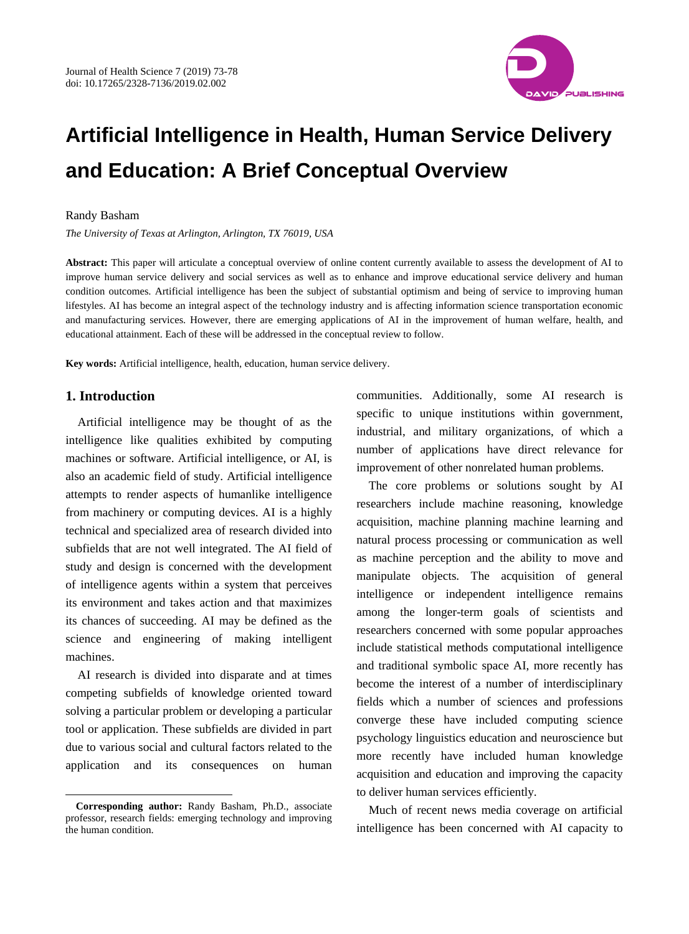

# **Artificial Intelligence in Health, Human Service Delivery and Education: A Brief Conceptual Overview**

### Randy Basham

*The University of Texas at Arlington, Arlington, TX 76019, USA*

**Abstract:** This paper will articulate a conceptual overview of online content currently available to assess the development of AI to improve human service delivery and social services as well as to enhance and improve educational service delivery and human condition outcomes. Artificial intelligence has been the subject of substantial optimism and being of service to improving human lifestyles. AI has become an integral aspect of the technology industry and is affecting information science transportation economic and manufacturing services. However, there are emerging applications of AI in the improvement of human welfare, health, and educational attainment. Each of these will be addressed in the conceptual review to follow.

**Key words:** Artificial intelligence, health, education, human service delivery.

# **1. Introduction**

 $\overline{a}$ 

Artificial intelligence may be thought of as the intelligence like qualities exhibited by computing machines or software. Artificial intelligence, or AI, is also an academic field of study. Artificial intelligence attempts to render aspects of humanlike intelligence from machinery or computing devices. AI is a highly technical and specialized area of research divided into subfields that are not well integrated. The AI field of study and design is concerned with the development of intelligence agents within a system that perceives its environment and takes action and that maximizes its chances of succeeding. AI may be defined as the science and engineering of making intelligent machines.

AI research is divided into disparate and at times competing subfields of knowledge oriented toward solving a particular problem or developing a particular tool or application. These subfields are divided in part due to various social and cultural factors related to the application and its consequences on human communities. Additionally, some AI research is specific to unique institutions within government, industrial, and military organizations, of which a number of applications have direct relevance for improvement of other nonrelated human problems.

The core problems or solutions sought by AI researchers include machine reasoning, knowledge acquisition, machine planning machine learning and natural process processing or communication as well as machine perception and the ability to move and manipulate objects. The acquisition of general intelligence or independent intelligence remains among the longer-term goals of scientists and researchers concerned with some popular approaches include statistical methods computational intelligence and traditional symbolic space AI, more recently has become the interest of a number of interdisciplinary fields which a number of sciences and professions converge these have included computing science psychology linguistics education and neuroscience but more recently have included human knowledge acquisition and education and improving the capacity to deliver human services efficiently.

Much of recent news media coverage on artificial intelligence has been concerned with AI capacity to

**Corresponding author:** Randy Basham, Ph.D., associate professor, research fields: emerging technology and improving the human condition.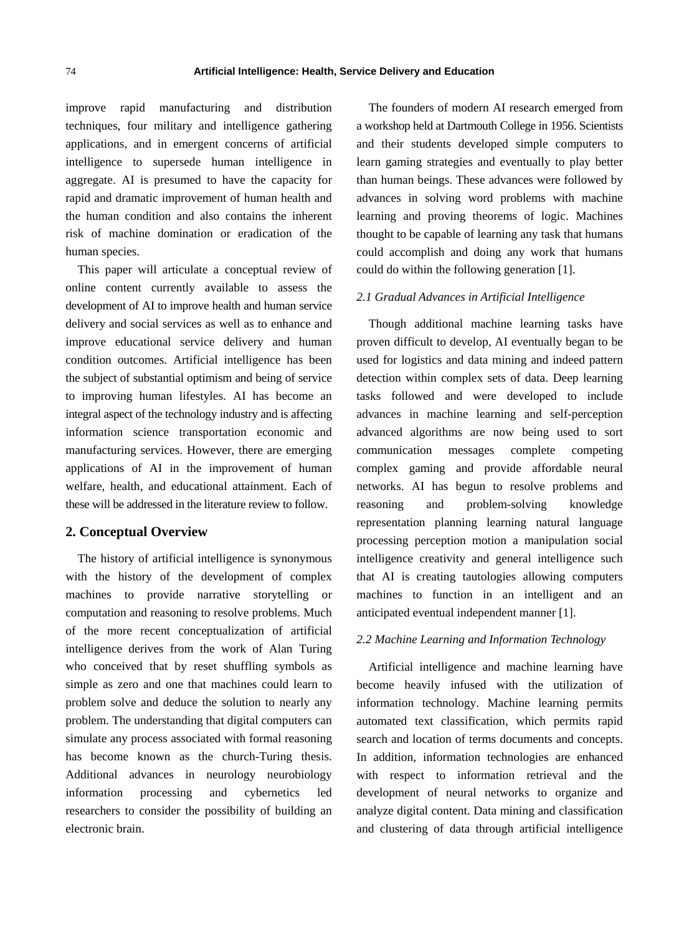improve rapid manufacturing and distribution techniques, four military and intelligence gathering applications, and in emergent concerns of artificial intelligence to supersede human intelligence in aggregate. AI is presumed to have the capacity for rapid and dramatic improvement of human health and the human condition and also contains the inherent risk of machine domination or eradication of the human species.

This paper will articulate a conceptual review of online content currently available to assess the development of AI to improve health and human service delivery and social services as well as to enhance and improve educational service delivery and human condition outcomes. Artificial intelligence has been the subject of substantial optimism and being of service to improving human lifestyles. AI has become an integral aspect of the technology industry and is affecting information science transportation economic and manufacturing services. However, there are emerging applications of AI in the improvement of human welfare, health, and educational attainment. Each of these will be addressed in the literature review to follow.

## **2. Conceptual Overview**

The history of artificial intelligence is synonymous with the history of the development of complex machines to provide narrative storytelling or computation and reasoning to resolve problems. Much of the more recent conceptualization of artificial intelligence derives from the work of Alan Turing who conceived that by reset shuffling symbols as simple as zero and one that machines could learn to problem solve and deduce the solution to nearly any problem. The understanding that digital computers can simulate any process associated with formal reasoning has become known as the church-Turing thesis. Additional advances in neurology neurobiology information processing and cybernetics led researchers to consider the possibility of building an electronic brain.

The founders of modern AI research emerged from a workshop held at Dartmouth College in 1956. Scientists and their students developed simple computers to learn gaming strategies and eventually to play better than human beings. These advances were followed by advances in solving word problems with machine learning and proving theorems of logic. Machines thought to be capable of learning any task that humans could accomplish and doing any work that humans could do within the following generation [1].

## *2.1 Gradual Advances in Artificial Intelligence*

Though additional machine learning tasks have proven difficult to develop, AI eventually began to be used for logistics and data mining and indeed pattern detection within complex sets of data. Deep learning tasks followed and were developed to include advances in machine learning and self-perception advanced algorithms are now being used to sort communication messages complete competing complex gaming and provide affordable neural networks. AI has begun to resolve problems and reasoning and problem-solving knowledge representation planning learning natural language processing perception motion a manipulation social intelligence creativity and general intelligence such that AI is creating tautologies allowing computers machines to function in an intelligent and an anticipated eventual independent manner [1].

## *2.2 Machine Learning and Information Technology*

Artificial intelligence and machine learning have become heavily infused with the utilization of information technology. Machine learning permits automated text classification, which permits rapid search and location of terms documents and concepts. In addition, information technologies are enhanced with respect to information retrieval and the development of neural networks to organize and analyze digital content. Data mining and classification and clustering of data through artificial intelligence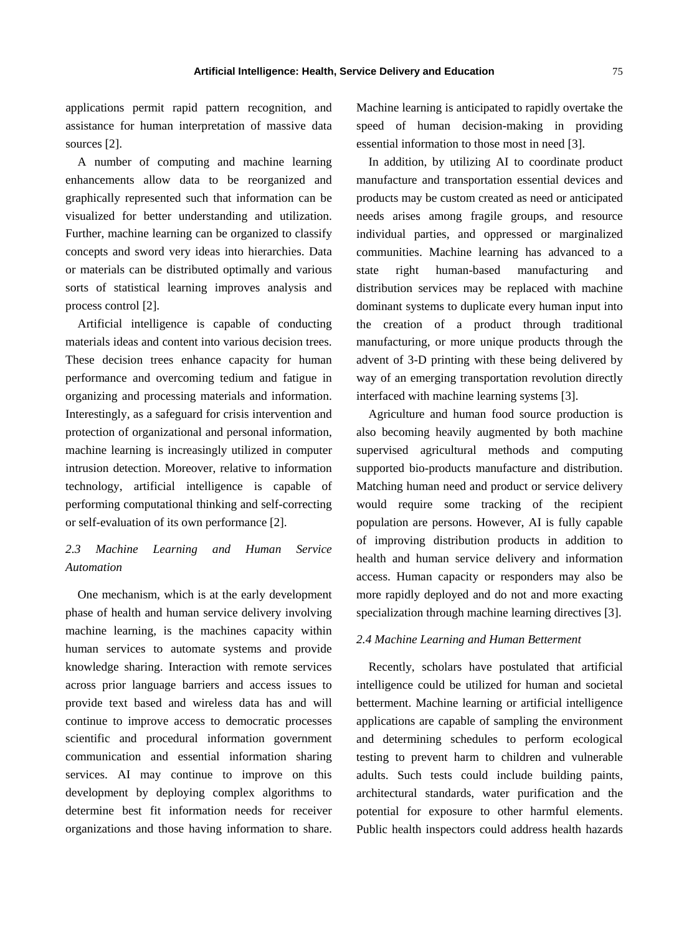applications permit rapid pattern recognition, and assistance for human interpretation of massive data sources [2].

A number of computing and machine learning enhancements allow data to be reorganized and graphically represented such that information can be visualized for better understanding and utilization. Further, machine learning can be organized to classify concepts and sword very ideas into hierarchies. Data or materials can be distributed optimally and various sorts of statistical learning improves analysis and process control [2].

Artificial intelligence is capable of conducting materials ideas and content into various decision trees. These decision trees enhance capacity for human performance and overcoming tedium and fatigue in organizing and processing materials and information. Interestingly, as a safeguard for crisis intervention and protection of organizational and personal information, machine learning is increasingly utilized in computer intrusion detection. Moreover, relative to information technology, artificial intelligence is capable of performing computational thinking and self-correcting or self-evaluation of its own performance [2].

# *2.3 Machine Learning and Human Service Automation*

One mechanism, which is at the early development phase of health and human service delivery involving machine learning, is the machines capacity within human services to automate systems and provide knowledge sharing. Interaction with remote services across prior language barriers and access issues to provide text based and wireless data has and will continue to improve access to democratic processes scientific and procedural information government communication and essential information sharing services. AI may continue to improve on this development by deploying complex algorithms to determine best fit information needs for receiver organizations and those having information to share. Machine learning is anticipated to rapidly overtake the speed of human decision-making in providing essential information to those most in need [3].

In addition, by utilizing AI to coordinate product manufacture and transportation essential devices and products may be custom created as need or anticipated needs arises among fragile groups, and resource individual parties, and oppressed or marginalized communities. Machine learning has advanced to a state right human-based manufacturing and distribution services may be replaced with machine dominant systems to duplicate every human input into the creation of a product through traditional manufacturing, or more unique products through the advent of 3-D printing with these being delivered by way of an emerging transportation revolution directly interfaced with machine learning systems [3].

Agriculture and human food source production is also becoming heavily augmented by both machine supervised agricultural methods and computing supported bio-products manufacture and distribution. Matching human need and product or service delivery would require some tracking of the recipient population are persons. However, AI is fully capable of improving distribution products in addition to health and human service delivery and information access. Human capacity or responders may also be more rapidly deployed and do not and more exacting specialization through machine learning directives [3].

#### *2.4 Machine Learning and Human Betterment*

Recently, scholars have postulated that artificial intelligence could be utilized for human and societal betterment. Machine learning or artificial intelligence applications are capable of sampling the environment and determining schedules to perform ecological testing to prevent harm to children and vulnerable adults. Such tests could include building paints, architectural standards, water purification and the potential for exposure to other harmful elements. Public health inspectors could address health hazards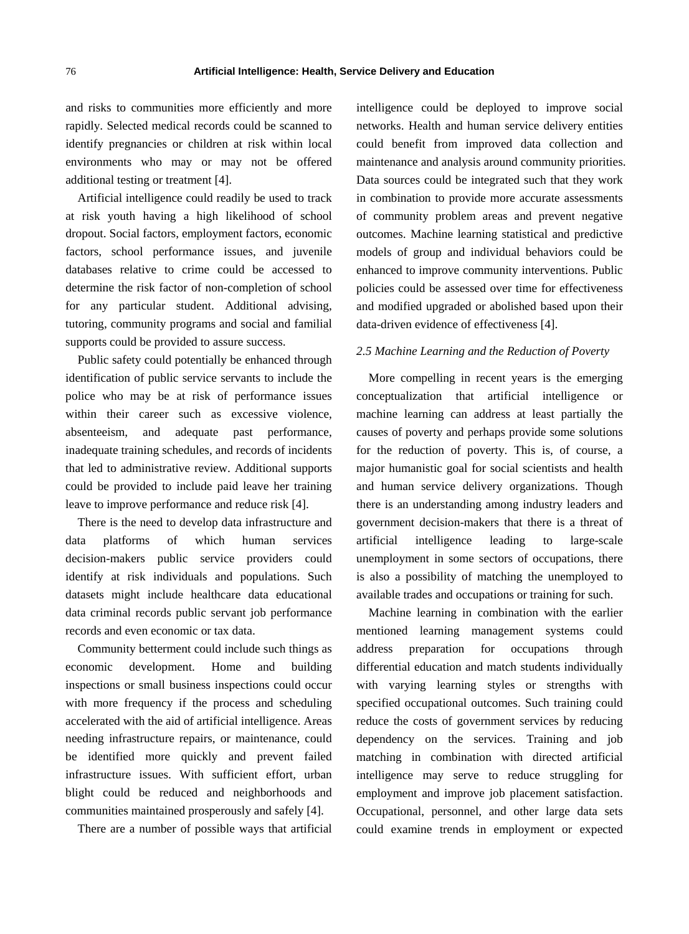and risks to communities more efficiently and more rapidly. Selected medical records could be scanned to identify pregnancies or children at risk within local environments who may or may not be offered additional testing or treatment [4].

Artificial intelligence could readily be used to track at risk youth having a high likelihood of school dropout. Social factors, employment factors, economic factors, school performance issues, and juvenile databases relative to crime could be accessed to determine the risk factor of non-completion of school for any particular student. Additional advising, tutoring, community programs and social and familial supports could be provided to assure success.

Public safety could potentially be enhanced through identification of public service servants to include the police who may be at risk of performance issues within their career such as excessive violence, absenteeism, and adequate past performance, inadequate training schedules, and records of incidents that led to administrative review. Additional supports could be provided to include paid leave her training leave to improve performance and reduce risk [4].

There is the need to develop data infrastructure and data platforms of which human services decision-makers public service providers could identify at risk individuals and populations. Such datasets might include healthcare data educational data criminal records public servant job performance records and even economic or tax data.

Community betterment could include such things as economic development. Home and building inspections or small business inspections could occur with more frequency if the process and scheduling accelerated with the aid of artificial intelligence. Areas needing infrastructure repairs, or maintenance, could be identified more quickly and prevent failed infrastructure issues. With sufficient effort, urban blight could be reduced and neighborhoods and communities maintained prosperously and safely [4].

There are a number of possible ways that artificial

intelligence could be deployed to improve social networks. Health and human service delivery entities could benefit from improved data collection and maintenance and analysis around community priorities. Data sources could be integrated such that they work in combination to provide more accurate assessments of community problem areas and prevent negative outcomes. Machine learning statistical and predictive models of group and individual behaviors could be enhanced to improve community interventions. Public policies could be assessed over time for effectiveness and modified upgraded or abolished based upon their data-driven evidence of effectiveness [4].

## *2.5 Machine Learning and the Reduction of Poverty*

More compelling in recent years is the emerging conceptualization that artificial intelligence or machine learning can address at least partially the causes of poverty and perhaps provide some solutions for the reduction of poverty. This is, of course, a major humanistic goal for social scientists and health and human service delivery organizations. Though there is an understanding among industry leaders and government decision-makers that there is a threat of artificial intelligence leading to large-scale unemployment in some sectors of occupations, there is also a possibility of matching the unemployed to available trades and occupations or training for such.

Machine learning in combination with the earlier mentioned learning management systems could address preparation for occupations through differential education and match students individually with varying learning styles or strengths with specified occupational outcomes. Such training could reduce the costs of government services by reducing dependency on the services. Training and job matching in combination with directed artificial intelligence may serve to reduce struggling for employment and improve job placement satisfaction. Occupational, personnel, and other large data sets could examine trends in employment or expected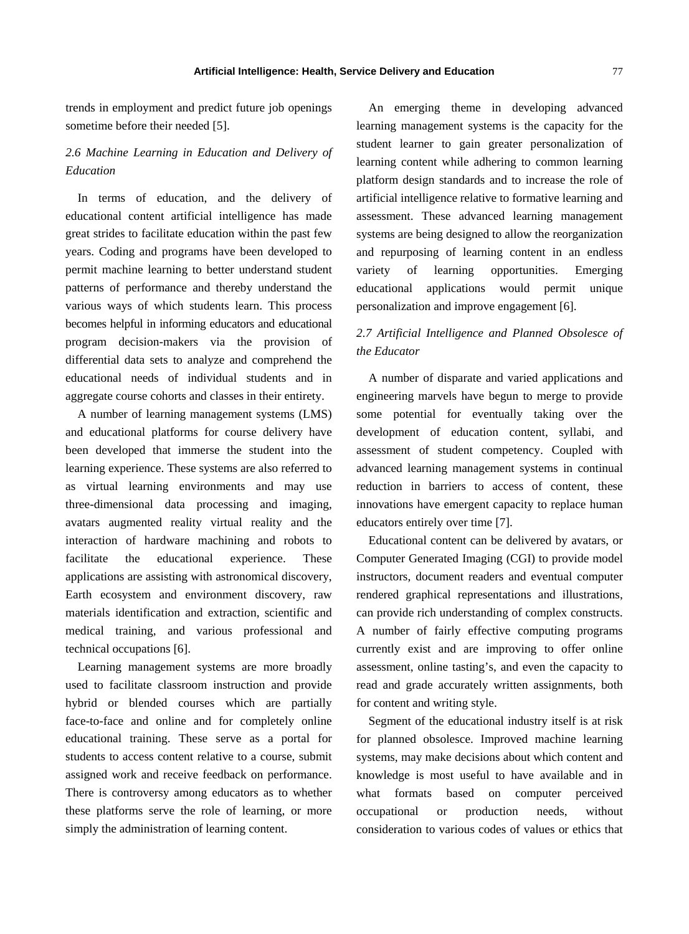trends in employment and predict future job openings sometime before their needed [5].

# *2.6 Machine Learning in Education and Delivery of Education*

In terms of education, and the delivery of educational content artificial intelligence has made great strides to facilitate education within the past few years. Coding and programs have been developed to permit machine learning to better understand student patterns of performance and thereby understand the various ways of which students learn. This process becomes helpful in informing educators and educational program decision-makers via the provision of differential data sets to analyze and comprehend the educational needs of individual students and in aggregate course cohorts and classes in their entirety.

A number of learning management systems (LMS) and educational platforms for course delivery have been developed that immerse the student into the learning experience. These systems are also referred to as virtual learning environments and may use three-dimensional data processing and imaging, avatars augmented reality virtual reality and the interaction of hardware machining and robots to facilitate the educational experience. These applications are assisting with astronomical discovery, Earth ecosystem and environment discovery, raw materials identification and extraction, scientific and medical training, and various professional and technical occupations [6].

Learning management systems are more broadly used to facilitate classroom instruction and provide hybrid or blended courses which are partially face-to-face and online and for completely online educational training. These serve as a portal for students to access content relative to a course, submit assigned work and receive feedback on performance. There is controversy among educators as to whether these platforms serve the role of learning, or more simply the administration of learning content.

An emerging theme in developing advanced learning management systems is the capacity for the student learner to gain greater personalization of learning content while adhering to common learning platform design standards and to increase the role of artificial intelligence relative to formative learning and assessment. These advanced learning management systems are being designed to allow the reorganization and repurposing of learning content in an endless variety of learning opportunities. Emerging educational applications would permit unique personalization and improve engagement [6].

# *2.7 Artificial Intelligence and Planned Obsolesce of the Educator*

A number of disparate and varied applications and engineering marvels have begun to merge to provide some potential for eventually taking over the development of education content, syllabi, and assessment of student competency. Coupled with advanced learning management systems in continual reduction in barriers to access of content, these innovations have emergent capacity to replace human educators entirely over time [7].

Educational content can be delivered by avatars, or Computer Generated Imaging (CGI) to provide model instructors, document readers and eventual computer rendered graphical representations and illustrations, can provide rich understanding of complex constructs. A number of fairly effective computing programs currently exist and are improving to offer online assessment, online tasting's, and even the capacity to read and grade accurately written assignments, both for content and writing style.

Segment of the educational industry itself is at risk for planned obsolesce. Improved machine learning systems, may make decisions about which content and knowledge is most useful to have available and in what formats based on computer perceived occupational or production needs, without consideration to various codes of values or ethics that